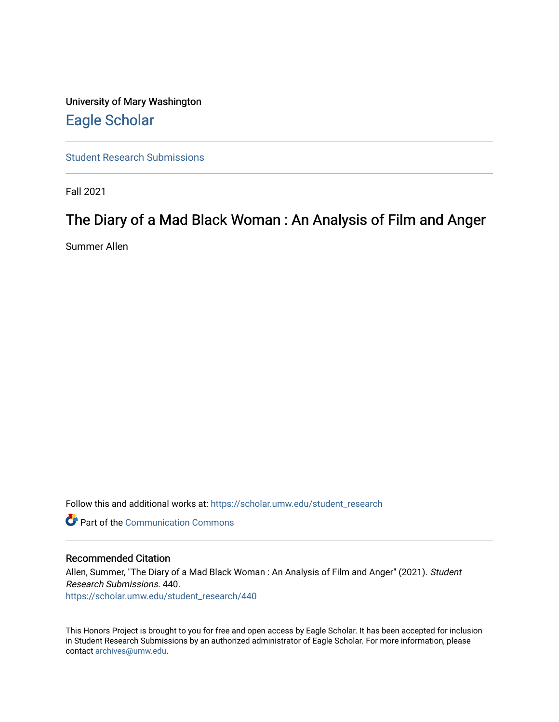University of Mary Washington [Eagle Scholar](https://scholar.umw.edu/) 

[Student Research Submissions](https://scholar.umw.edu/student_research) 

Fall 2021

# The Diary of a Mad Black Woman : An Analysis of Film and Anger

Summer Allen

Follow this and additional works at: [https://scholar.umw.edu/student\\_research](https://scholar.umw.edu/student_research?utm_source=scholar.umw.edu%2Fstudent_research%2F440&utm_medium=PDF&utm_campaign=PDFCoverPages)

Part of the [Communication Commons](http://network.bepress.com/hgg/discipline/325?utm_source=scholar.umw.edu%2Fstudent_research%2F440&utm_medium=PDF&utm_campaign=PDFCoverPages) 

## Recommended Citation

Allen, Summer, "The Diary of a Mad Black Woman : An Analysis of Film and Anger" (2021). Student Research Submissions. 440. [https://scholar.umw.edu/student\\_research/440](https://scholar.umw.edu/student_research/440?utm_source=scholar.umw.edu%2Fstudent_research%2F440&utm_medium=PDF&utm_campaign=PDFCoverPages)

This Honors Project is brought to you for free and open access by Eagle Scholar. It has been accepted for inclusion in Student Research Submissions by an authorized administrator of Eagle Scholar. For more information, please contact [archives@umw.edu](mailto:archives@umw.edu).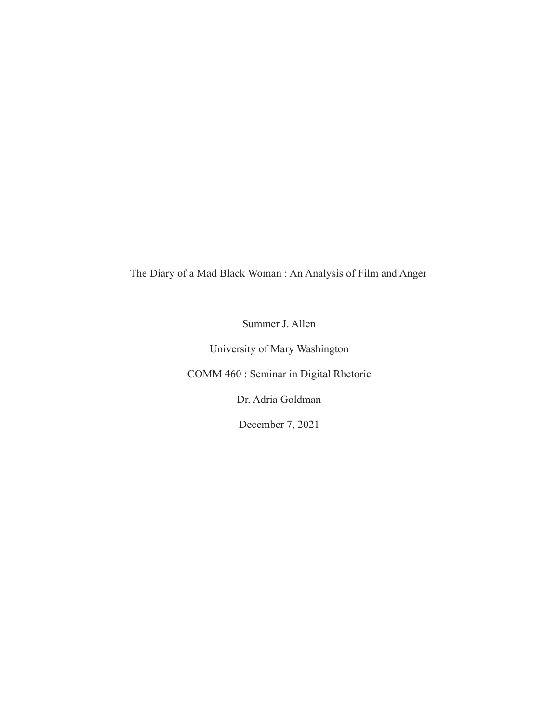The Diary of a Mad Black Woman : An Analysis of Film and Anger

Summer J. Allen

University of Mary Washington

COMM 460 : Seminar in Digital Rhetoric

Dr. Adria Goldman

December 7, 2021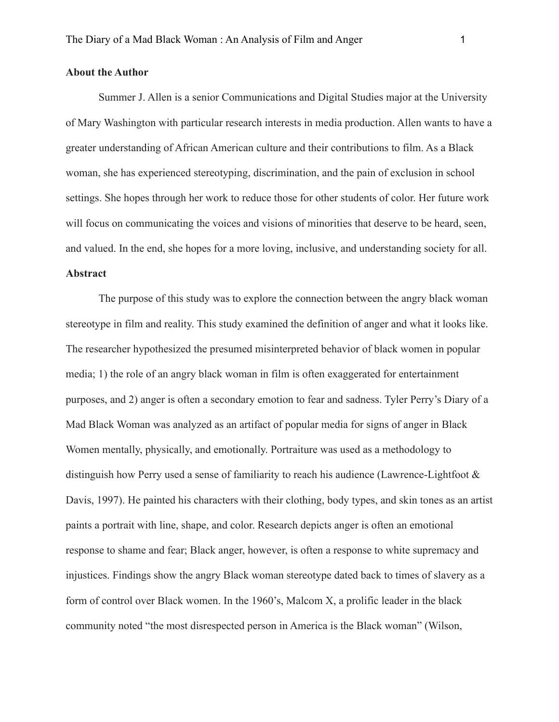# **About the Author**

Summer J. Allen is a senior Communications and Digital Studies major at the University of Mary Washington with particular research interests in media production. Allen wants to have a greater understanding of African American culture and their contributions to film. As a Black woman, she has experienced stereotyping, discrimination, and the pain of exclusion in school settings. She hopes through her work to reduce those for other students of color. Her future work will focus on communicating the voices and visions of minorities that deserve to be heard, seen, and valued. In the end, she hopes for a more loving, inclusive, and understanding society for all. **Abstract**

The purpose of this study was to explore the connection between the angry black woman stereotype in film and reality. This study examined the definition of anger and what it looks like. The researcher hypothesized the presumed misinterpreted behavior of black women in popular media; 1) the role of an angry black woman in film is often exaggerated for entertainment purposes, and 2) anger is often a secondary emotion to fear and sadness. Tyler Perry's Diary of a Mad Black Woman was analyzed as an artifact of popular media for signs of anger in Black Women mentally, physically, and emotionally. Portraiture was used as a methodology to distinguish how Perry used a sense of familiarity to reach his audience (Lawrence-Lightfoot & Davis, 1997). He painted his characters with their clothing, body types, and skin tones as an artist paints a portrait with line, shape, and color. Research depicts anger is often an emotional response to shame and fear; Black anger, however, is often a response to white supremacy and injustices. Findings show the angry Black woman stereotype dated back to times of slavery as a form of control over Black women. In the 1960's, Malcom X, a prolific leader in the black community noted "the most disrespected person in America is the Black woman" (Wilson,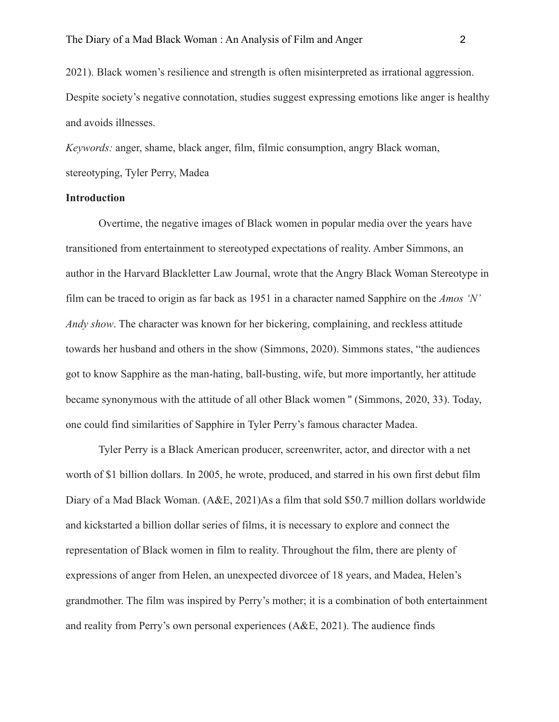2021). Black women's resilience and strength is often misinterpreted as irrational aggression. Despite society's negative connotation, studies suggest expressing emotions like anger is healthy and avoids illnesses.

*Keywords:* anger, shame, black anger, film, filmic consumption, angry Black woman, stereotyping, Tyler Perry, Madea

# **Introduction**

Overtime, the negative images of Black women in popular media over the years have transitioned from entertainment to stereotyped expectations of reality. Amber Simmons, an author in the Harvard Blackletter Law Journal, wrote that the Angry Black Woman Stereotype in film can be traced to origin as far back as 1951 in a character named Sapphire on the *Amos 'N' Andy show*. The character was known for her bickering, complaining, and reckless attitude towards her husband and others in the show (Simmons, 2020). Simmons states, "the audiences got to know Sapphire as the man-hating, ball-busting, wife, but more importantly, her attitude became synonymous with the attitude of all other Black women '' (Simmons, 2020, 33). Today, one could find similarities of Sapphire in Tyler Perry's famous character Madea.

Tyler Perry is a Black American producer, screenwriter, actor, and director with a net worth of \$1 billion dollars. In 2005, he wrote, produced, and starred in his own first debut film Diary of a Mad Black Woman. (A&E, 2021)As a film that sold \$50.7 million dollars worldwide and kickstarted a billion dollar series of films, it is necessary to explore and connect the representation of Black women in film to reality. Throughout the film, there are plenty of expressions of anger from Helen, an unexpected divorcee of 18 years, and Madea, Helen's grandmother. The film was inspired by Perry's mother; it is a combination of both entertainment and reality from Perry's own personal experiences (A&E, 2021). The audience finds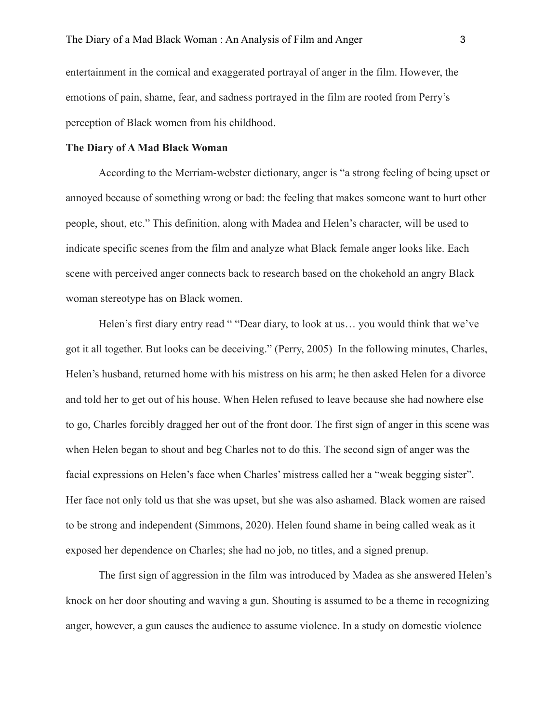entertainment in the comical and exaggerated portrayal of anger in the film. However, the emotions of pain, shame, fear, and sadness portrayed in the film are rooted from Perry's perception of Black women from his childhood.

# **The Diary of A Mad Black Woman**

According to the Merriam-webster dictionary, anger is "a strong feeling of being upset or annoyed because of something wrong or bad: the feeling that makes someone want to hurt other people, shout, etc." This definition, along with Madea and Helen's character, will be used to indicate specific scenes from the film and analyze what Black female anger looks like. Each scene with perceived anger connects back to research based on the chokehold an angry Black woman stereotype has on Black women.

Helen's first diary entry read " "Dear diary, to look at us... you would think that we've got it all together. But looks can be deceiving." (Perry, 2005) In the following minutes, Charles, Helen's husband, returned home with his mistress on his arm; he then asked Helen for a divorce and told her to get out of his house. When Helen refused to leave because she had nowhere else to go, Charles forcibly dragged her out of the front door. The first sign of anger in this scene was when Helen began to shout and beg Charles not to do this. The second sign of anger was the facial expressions on Helen's face when Charles' mistress called her a "weak begging sister". Her face not only told us that she was upset, but she was also ashamed. Black women are raised to be strong and independent (Simmons, 2020). Helen found shame in being called weak as it exposed her dependence on Charles; she had no job, no titles, and a signed prenup.

The first sign of aggression in the film was introduced by Madea as she answered Helen's knock on her door shouting and waving a gun. Shouting is assumed to be a theme in recognizing anger, however, a gun causes the audience to assume violence. In a study on domestic violence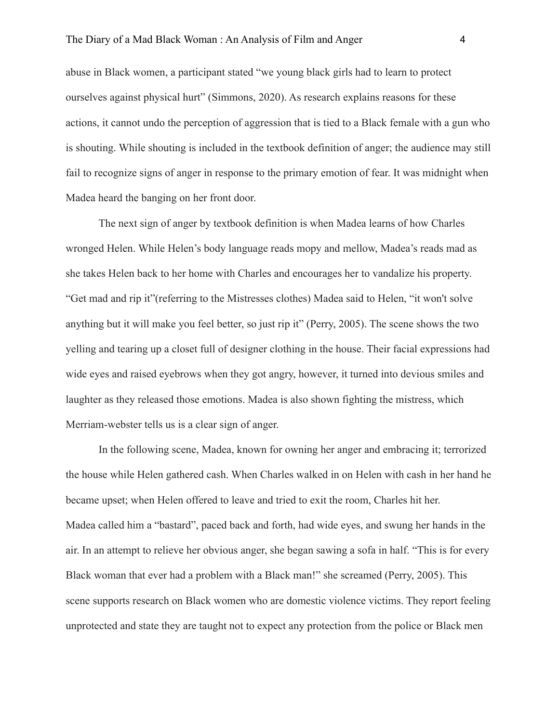abuse in Black women, a participant stated "we young black girls had to learn to protect ourselves against physical hurt" (Simmons, 2020). As research explains reasons for these actions, it cannot undo the perception of aggression that is tied to a Black female with a gun who is shouting. While shouting is included in the textbook definition of anger; the audience may still fail to recognize signs of anger in response to the primary emotion of fear. It was midnight when Madea heard the banging on her front door.

The next sign of anger by textbook definition is when Madea learns of how Charles wronged Helen. While Helen's body language reads mopy and mellow, Madea's reads mad as she takes Helen back to her home with Charles and encourages her to vandalize his property. "Get mad and rip it"(referring to the Mistresses clothes) Madea said to Helen, "it won't solve anything but it will make you feel better, so just rip it" (Perry, 2005). The scene shows the two yelling and tearing up a closet full of designer clothing in the house. Their facial expressions had wide eyes and raised eyebrows when they got angry, however, it turned into devious smiles and laughter as they released those emotions. Madea is also shown fighting the mistress, which Merriam-webster tells us is a clear sign of anger.

In the following scene, Madea, known for owning her anger and embracing it; terrorized the house while Helen gathered cash. When Charles walked in on Helen with cash in her hand he became upset; when Helen offered to leave and tried to exit the room, Charles hit her. Madea called him a "bastard", paced back and forth, had wide eyes, and swung her hands in the air. In an attempt to relieve her obvious anger, she began sawing a sofa in half. "This is for every Black woman that ever had a problem with a Black man!" she screamed (Perry, 2005). This scene supports research on Black women who are domestic violence victims. They report feeling unprotected and state they are taught not to expect any protection from the police or Black men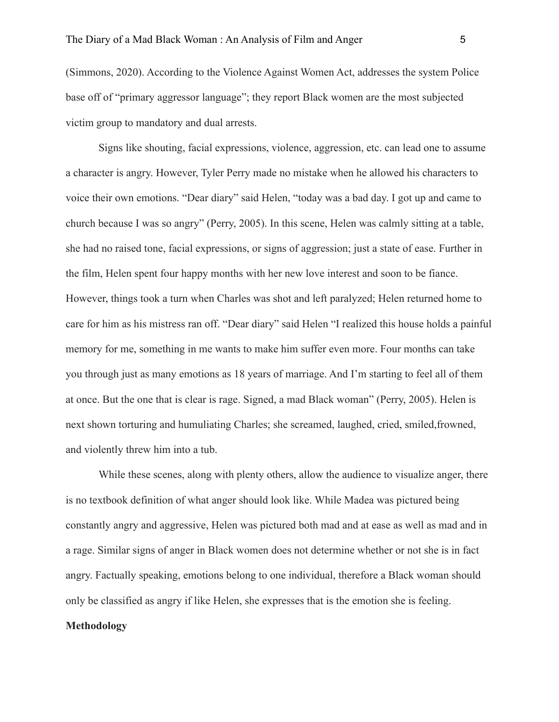(Simmons, 2020). According to the Violence Against Women Act, addresses the system Police base off of "primary aggressor language"; they report Black women are the most subjected victim group to mandatory and dual arrests.

Signs like shouting, facial expressions, violence, aggression, etc. can lead one to assume a character is angry. However, Tyler Perry made no mistake when he allowed his characters to voice their own emotions. "Dear diary" said Helen, "today was a bad day. I got up and came to church because I was so angry" (Perry, 2005). In this scene, Helen was calmly sitting at a table, she had no raised tone, facial expressions, or signs of aggression; just a state of ease. Further in the film, Helen spent four happy months with her new love interest and soon to be fiance. However, things took a turn when Charles was shot and left paralyzed; Helen returned home to care for him as his mistress ran off. "Dear diary" said Helen "I realized this house holds a painful memory for me, something in me wants to make him suffer even more. Four months can take you through just as many emotions as 18 years of marriage. And I'm starting to feel all of them at once. But the one that is clear is rage. Signed, a mad Black woman" (Perry, 2005). Helen is next shown torturing and humuliating Charles; she screamed, laughed, cried, smiled,frowned, and violently threw him into a tub.

While these scenes, along with plenty others, allow the audience to visualize anger, there is no textbook definition of what anger should look like. While Madea was pictured being constantly angry and aggressive, Helen was pictured both mad and at ease as well as mad and in a rage. Similar signs of anger in Black women does not determine whether or not she is in fact angry. Factually speaking, emotions belong to one individual, therefore a Black woman should only be classified as angry if like Helen, she expresses that is the emotion she is feeling.

## **Methodology**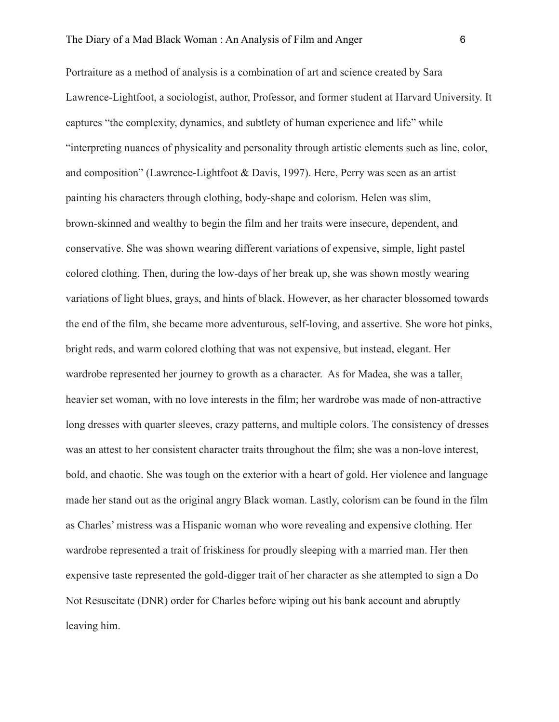Portraiture as a method of analysis is a combination of art and science created by Sara Lawrence-Lightfoot, a sociologist, author, Professor, and former student at Harvard University. It captures "the complexity, dynamics, and subtlety of human experience and life" while "interpreting nuances of physicality and personality through artistic elements such as line, color, and composition" (Lawrence-Lightfoot & Davis, 1997). Here, Perry was seen as an artist painting his characters through clothing, body-shape and colorism. Helen was slim, brown-skinned and wealthy to begin the film and her traits were insecure, dependent, and conservative. She was shown wearing different variations of expensive, simple, light pastel colored clothing. Then, during the low-days of her break up, she was shown mostly wearing variations of light blues, grays, and hints of black. However, as her character blossomed towards the end of the film, she became more adventurous, self-loving, and assertive. She wore hot pinks, bright reds, and warm colored clothing that was not expensive, but instead, elegant. Her wardrobe represented her journey to growth as a character. As for Madea, she was a taller, heavier set woman, with no love interests in the film; her wardrobe was made of non-attractive long dresses with quarter sleeves, crazy patterns, and multiple colors. The consistency of dresses was an attest to her consistent character traits throughout the film; she was a non-love interest, bold, and chaotic. She was tough on the exterior with a heart of gold. Her violence and language made her stand out as the original angry Black woman. Lastly, colorism can be found in the film as Charles' mistress was a Hispanic woman who wore revealing and expensive clothing. Her wardrobe represented a trait of friskiness for proudly sleeping with a married man. Her then expensive taste represented the gold-digger trait of her character as she attempted to sign a Do Not Resuscitate (DNR) order for Charles before wiping out his bank account and abruptly leaving him.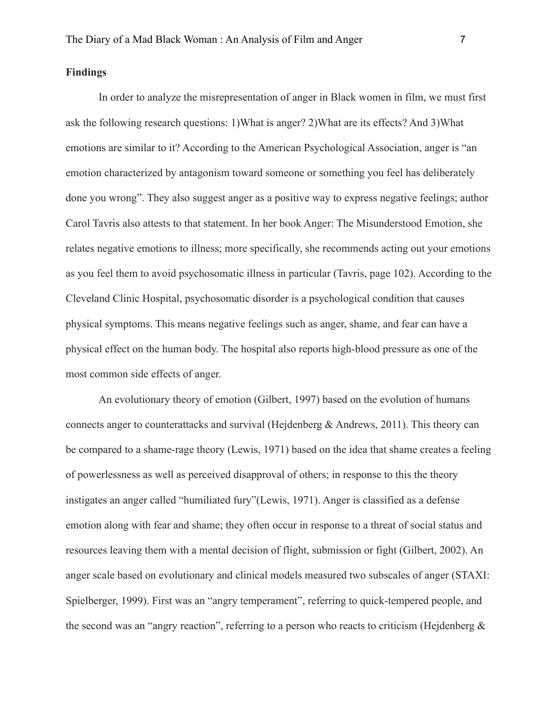# **Findings**

In order to analyze the misrepresentation of anger in Black women in film, we must first ask the following research questions: 1)What is anger? 2)What are its effects? And 3)What emotions are similar to it? According to the American Psychological Association, anger is "an emotion characterized by antagonism toward someone or something you feel has deliberately done you wrong". They also suggest anger as a positive way to express negative feelings; author Carol Tavris also attests to that statement. In her book Anger: The Misunderstood Emotion, she relates negative emotions to illness; more specifically, she recommends acting out your emotions as you feel them to avoid psychosomatic illness in particular (Tavris, page 102). According to the Cleveland Clinic Hospital, psychosomatic disorder is a psychological condition that causes physical symptoms. This means negative feelings such as anger, shame, and fear can have a physical effect on the human body. The hospital also reports high-blood pressure as one of the most common side effects of anger.

An evolutionary theory of emotion (Gilbert, 1997) based on the evolution of humans connects anger to counterattacks and survival (Hejdenberg & Andrews, 2011). This theory can be compared to a shame-rage theory (Lewis, 1971) based on the idea that shame creates a feeling of powerlessness as well as perceived disapproval of others; in response to this the theory instigates an anger called "humiliated fury"(Lewis, 1971). Anger is classified as a defense emotion along with fear and shame; they often occur in response to a threat of social status and resources leaving them with a mental decision of flight, submission or fight (Gilbert, 2002). An anger scale based on evolutionary and clinical models measured two subscales of anger (STAXI: Spielberger, 1999). First was an "angry temperament", referring to quick-tempered people, and the second was an "angry reaction", referring to a person who reacts to criticism (Hejdenberg &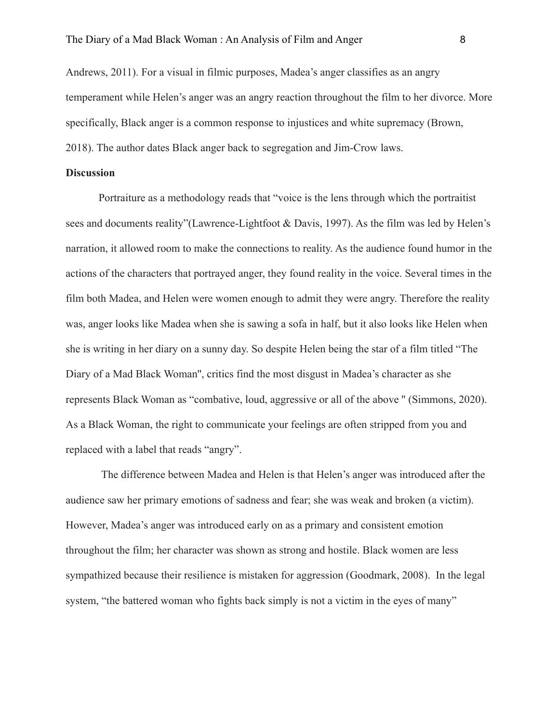Andrews, 2011). For a visual in filmic purposes, Madea's anger classifies as an angry temperament while Helen's anger was an angry reaction throughout the film to her divorce. More specifically, Black anger is a common response to injustices and white supremacy (Brown, 2018). The author dates Black anger back to segregation and Jim-Crow laws.

## **Discussion**

Portraiture as a methodology reads that "voice is the lens through which the portraitist sees and documents reality"(Lawrence-Lightfoot & Davis, 1997). As the film was led by Helen's narration, it allowed room to make the connections to reality. As the audience found humor in the actions of the characters that portrayed anger, they found reality in the voice. Several times in the film both Madea, and Helen were women enough to admit they were angry. Therefore the reality was, anger looks like Madea when she is sawing a sofa in half, but it also looks like Helen when she is writing in her diary on a sunny day. So despite Helen being the star of a film titled "The Diary of a Mad Black Woman'', critics find the most disgust in Madea's character as she represents Black Woman as "combative, loud, aggressive or all of the above '' (Simmons, 2020). As a Black Woman, the right to communicate your feelings are often stripped from you and replaced with a label that reads "angry".

The difference between Madea and Helen is that Helen's anger was introduced after the audience saw her primary emotions of sadness and fear; she was weak and broken (a victim). However, Madea's anger was introduced early on as a primary and consistent emotion throughout the film; her character was shown as strong and hostile. Black women are less sympathized because their resilience is mistaken for aggression (Goodmark, 2008). In the legal system, "the battered woman who fights back simply is not a victim in the eyes of many"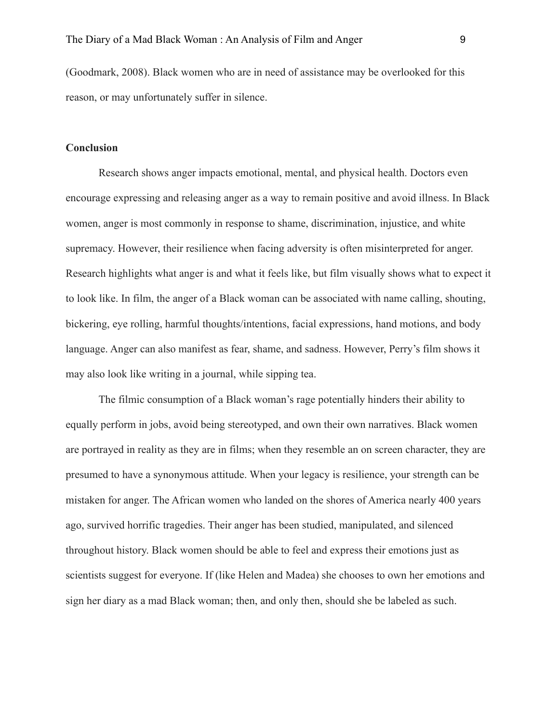(Goodmark, 2008). Black women who are in need of assistance may be overlooked for this reason, or may unfortunately suffer in silence.

## **Conclusion**

Research shows anger impacts emotional, mental, and physical health. Doctors even encourage expressing and releasing anger as a way to remain positive and avoid illness. In Black women, anger is most commonly in response to shame, discrimination, injustice, and white supremacy. However, their resilience when facing adversity is often misinterpreted for anger. Research highlights what anger is and what it feels like, but film visually shows what to expect it to look like. In film, the anger of a Black woman can be associated with name calling, shouting, bickering, eye rolling, harmful thoughts/intentions, facial expressions, hand motions, and body language. Anger can also manifest as fear, shame, and sadness. However, Perry's film shows it may also look like writing in a journal, while sipping tea.

The filmic consumption of a Black woman's rage potentially hinders their ability to equally perform in jobs, avoid being stereotyped, and own their own narratives. Black women are portrayed in reality as they are in films; when they resemble an on screen character, they are presumed to have a synonymous attitude. When your legacy is resilience, your strength can be mistaken for anger. The African women who landed on the shores of America nearly 400 years ago, survived horrific tragedies. Their anger has been studied, manipulated, and silenced throughout history. Black women should be able to feel and express their emotions just as scientists suggest for everyone. If (like Helen and Madea) she chooses to own her emotions and sign her diary as a mad Black woman; then, and only then, should she be labeled as such.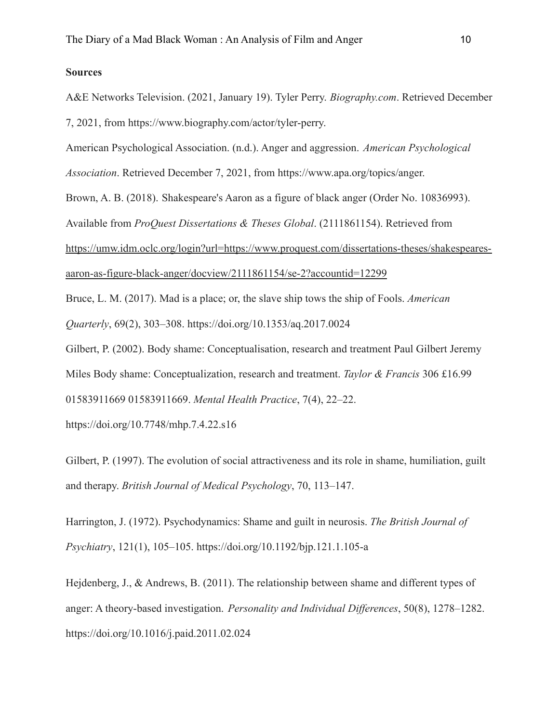# **Sources**

A&E Networks Television. (2021, January 19). Tyler Perry. *Biography.com*. Retrieved December 7, 2021, from https://www.biography.com/actor/tyler-perry.

American Psychological Association. (n.d.). Anger and aggression. *American Psychological*

*Association*. Retrieved December 7, 2021, from https://www.apa.org/topics/anger.

Brown, A. B. (2018). Shakespeare's Aaron as a figure of black anger (Order No. 10836993).

Available from *ProQuest Dissertations & Theses Global*. (2111861154). Retrieved from

[https://umw.idm.oclc.org/login?url=https://www.proquest.com/dissertations-theses/shakespeares-](https://umw.idm.oclc.org/login?url=https://www.proquest.com/dissertations-theses/shakespeares-aaron-as-figure-black-anger/docview/2111861154/se-2?accountid=12299)

[aaron-as-figure-black-anger/docview/2111861154/se-2?accountid=12299](https://umw.idm.oclc.org/login?url=https://www.proquest.com/dissertations-theses/shakespeares-aaron-as-figure-black-anger/docview/2111861154/se-2?accountid=12299)

Bruce, L. M. (2017). Mad is a place; or, the slave ship tows the ship of Fools. *American Quarterly*, 69(2), 303–308. https://doi.org/10.1353/aq.2017.0024

Gilbert, P. (2002). Body shame: Conceptualisation, research and treatment Paul Gilbert Jeremy Miles Body shame: Conceptualization, research and treatment. *Taylor & Francis* 306 £16.99 01583911669 01583911669. *Mental Health Practice*, 7(4), 22–22.

https://doi.org/10.7748/mhp.7.4.22.s16

Gilbert, P. (1997). The evolution of social attractiveness and its role in shame, humiliation, guilt and therapy. *British Journal of Medical Psychology*, 70, 113–147.

Harrington, J. (1972). Psychodynamics: Shame and guilt in neurosis. *The British Journal of Psychiatry*, 121(1), 105–105. https://doi.org/10.1192/bjp.121.1.105-a

Hejdenberg, J., & Andrews, B. (2011). The relationship between shame and different types of anger: A theory-based investigation. *Personality and Individual Differences*, 50(8), 1278–1282. https://doi.org/10.1016/j.paid.2011.02.024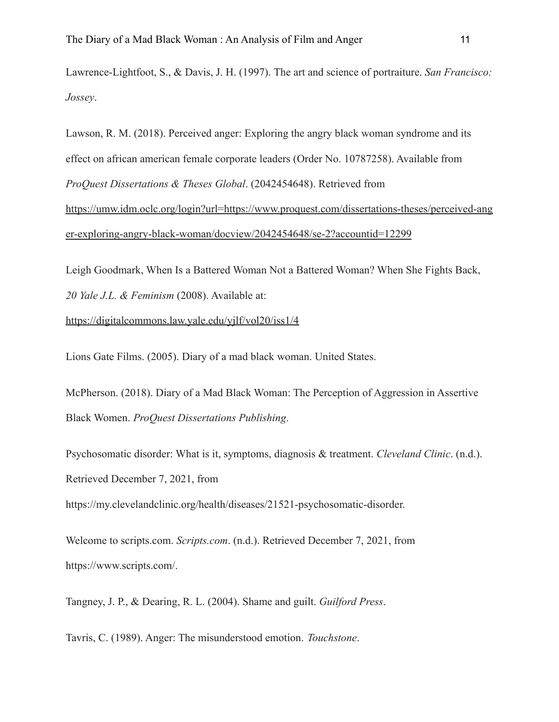Lawrence-Lightfoot, S., & Davis, J. H. (1997). The art and science of portraiture. *San Francisco: Jossey*.

Lawson, R. M. (2018). Perceived anger: Exploring the angry black woman syndrome and its effect on african american female corporate leaders (Order No. 10787258). Available from *ProQuest Dissertations & Theses Global*. (2042454648). Retrieved from [https://umw.idm.oclc.org/login?url=https://www.proquest.com/dissertations-theses/perceived-ang](https://umw.idm.oclc.org/login?url=https://www.proquest.com/dissertations-theses/perceived-anger-exploring-angry-black-woman/docview/2042454648/se-2?accountid=12299) [er-exploring-angry-black-woman/docview/2042454648/se-2?accountid=12299](https://umw.idm.oclc.org/login?url=https://www.proquest.com/dissertations-theses/perceived-anger-exploring-angry-black-woman/docview/2042454648/se-2?accountid=12299)

Leigh Goodmark, When Is a Battered Woman Not a Battered Woman? When She Fights Back, *20 Yale J.L. & Feminism* (2008). Available at:

## <https://digitalcommons.law.yale.edu/yjlf/vol20/iss1/4>

Lions Gate Films. (2005). Diary of a mad black woman. United States.

McPherson. (2018). Diary of a Mad Black Woman: The Perception of Aggression in Assertive Black Women. *ProQuest Dissertations Publishing*.

Psychosomatic disorder: What is it, symptoms, diagnosis & treatment. *Cleveland Clinic*. (n.d.). Retrieved December 7, 2021, from

https://my.clevelandclinic.org/health/diseases/21521-psychosomatic-disorder.

Welcome to scripts.com. *Scripts.com*. (n.d.). Retrieved December 7, 2021, from https://www.scripts.com/.

Tangney, J. P., & Dearing, R. L. (2004). Shame and guilt. *Guilford Press*.

Tavris, C. (1989). Anger: The misunderstood emotion. *Touchstone*.